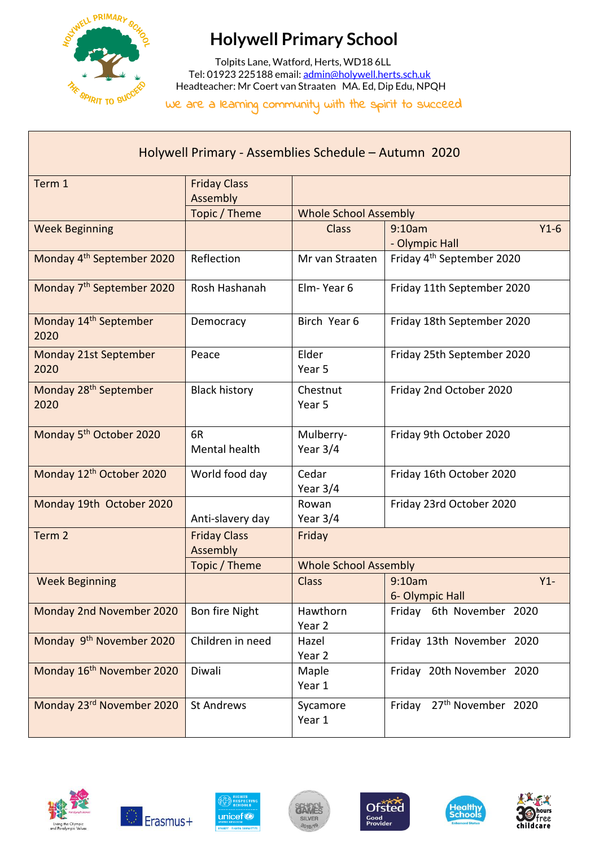

## **Holywell Primary School**

 Tolpits Lane, Watford, Herts, WD18 6LL Tel: 01923 225188 email[: admin@holywell.herts.sch.uk](mailto:admin@holywell.herts.sch.uk) Headteacher: Mr Coert van Straaten MA. Ed, Dip Edu, NPQH

We are a learning community with the spirit to succeed

| Holywell Primary - Assemblies Schedule - Autumn 2020 |                                 |                              |                                          |  |  |
|------------------------------------------------------|---------------------------------|------------------------------|------------------------------------------|--|--|
| Term 1                                               | <b>Friday Class</b><br>Assembly |                              |                                          |  |  |
|                                                      | Topic / Theme                   | <b>Whole School Assembly</b> |                                          |  |  |
| <b>Week Beginning</b>                                |                                 | <b>Class</b>                 | $Y1-6$<br>9:10am<br>- Olympic Hall       |  |  |
| Monday 4 <sup>th</sup> September 2020                | Reflection                      | Mr van Straaten              | Friday 4 <sup>th</sup> September 2020    |  |  |
| Monday 7 <sup>th</sup> September 2020                | Rosh Hashanah                   | Elm-Year 6                   | Friday 11th September 2020               |  |  |
| Monday 14 <sup>th</sup> September<br>2020            | Democracy                       | Birch Year 6                 | Friday 18th September 2020               |  |  |
| Monday 21st September<br>2020                        | Peace                           | Elder<br>Year 5              | Friday 25th September 2020               |  |  |
| Monday 28 <sup>th</sup> September<br>2020            | <b>Black history</b>            | Chestnut<br>Year 5           | Friday 2nd October 2020                  |  |  |
| Monday 5 <sup>th</sup> October 2020                  | 6R<br>Mental health             | Mulberry-<br>Year $3/4$      | Friday 9th October 2020                  |  |  |
| Monday 12 <sup>th</sup> October 2020                 | World food day                  | Cedar<br>Year 3/4            | Friday 16th October 2020                 |  |  |
| Monday 19th October 2020                             | Anti-slavery day                | Rowan<br>Year $3/4$          | Friday 23rd October 2020                 |  |  |
| Term <sub>2</sub>                                    | <b>Friday Class</b><br>Assembly | Friday                       |                                          |  |  |
|                                                      | Topic / Theme                   |                              | <b>Whole School Assembly</b>             |  |  |
| <b>Week Beginning</b>                                |                                 | <b>Class</b>                 | 9:10am<br>$Y1 -$<br>6- Olympic Hall      |  |  |
| Monday 2nd November 2020                             | Bon fire Night                  | Hawthorn<br>Year 2           | Friday 6th November 2020                 |  |  |
| Monday 9 <sup>th</sup> November 2020                 | Children in need                | Hazel<br>Year 2              | Friday 13th November 2020                |  |  |
| Monday 16 <sup>th</sup> November 2020                | Diwali                          | Maple<br>Year 1              | Friday 20th November 2020                |  |  |
| Monday 23rd November 2020                            | <b>St Andrews</b>               | Sycamore<br>Year 1           | 27 <sup>th</sup> November 2020<br>Friday |  |  |